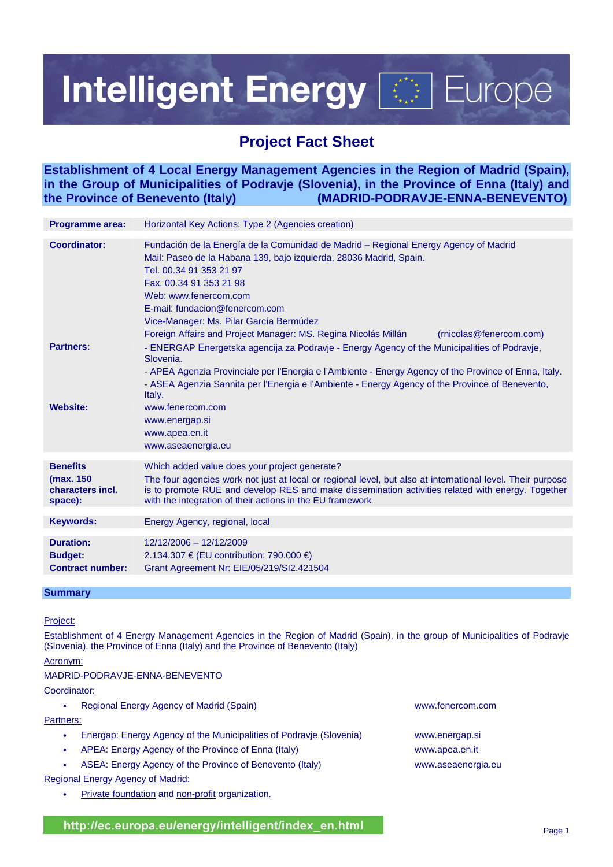# **Intelligent Energy Fight** Europe

# **Project Fact Sheet**

**Establishment of 4 Local Energy Management Agencies in the Region of Madrid (Spain), in the Group of Municipalities of Podravje (Slovenia), in the Province of Enna (Italy) and the Province of Benevento (Italy) (MADRID-PODRAVJE-ENNA-BENEVENTO)** 

| <b>Programme area:</b>                   | Horizontal Key Actions: Type 2 (Agencies creation)                                                                                                                                                                                                                                                                                                                                                                  |  |
|------------------------------------------|---------------------------------------------------------------------------------------------------------------------------------------------------------------------------------------------------------------------------------------------------------------------------------------------------------------------------------------------------------------------------------------------------------------------|--|
| <b>Coordinator:</b>                      | Fundación de la Energía de la Comunidad de Madrid – Regional Energy Agency of Madrid<br>Mail: Paseo de la Habana 139, bajo izquierda, 28036 Madrid, Spain.<br>Tel. 00.34 91 353 21 97<br>Fax. 00.34 91 353 21 98<br>Web: www.fenercom.com<br>E-mail: fundacion@fenercom.com<br>Vice-Manager: Ms. Pilar García Bermúdez<br>Foreign Affairs and Project Manager: MS. Regina Nicolás Millán<br>(rnicolas@fenercom.com) |  |
| <b>Partners:</b>                         | - ENERGAP Energetska agencija za Podravje - Energy Agency of the Municipalities of Podravje,<br>Slovenia.<br>- APEA Agenzia Provinciale per l'Energia e l'Ambiente - Energy Agency of the Province of Enna, Italy.<br>- ASEA Agenzia Sannita per l'Energia e l'Ambiente - Energy Agency of the Province of Benevento,<br>Italy.                                                                                     |  |
| <b>Website:</b>                          | www.fenercom.com<br>www.energap.si<br>www.apea.en.it<br>www.aseaenergia.eu                                                                                                                                                                                                                                                                                                                                          |  |
| <b>Benefits</b>                          | Which added value does your project generate?                                                                                                                                                                                                                                                                                                                                                                       |  |
| (max. 150<br>characters incl.<br>space): | The four agencies work not just at local or regional level, but also at international level. Their purpose<br>is to promote RUE and develop RES and make dissemination activities related with energy. Together<br>with the integration of their actions in the EU framework                                                                                                                                        |  |
| <b>Keywords:</b>                         | Energy Agency, regional, local                                                                                                                                                                                                                                                                                                                                                                                      |  |
|                                          |                                                                                                                                                                                                                                                                                                                                                                                                                     |  |
| <b>Duration:</b>                         | 12/12/2006 - 12/12/2009                                                                                                                                                                                                                                                                                                                                                                                             |  |
| <b>Budget:</b>                           | 2.134.307 € (EU contribution: 790.000 €)                                                                                                                                                                                                                                                                                                                                                                            |  |
| <b>Contract number:</b>                  | Grant Agreement Nr: EIE/05/219/SI2.421504                                                                                                                                                                                                                                                                                                                                                                           |  |
|                                          |                                                                                                                                                                                                                                                                                                                                                                                                                     |  |

# **Summary**

# Project:

Establishment of 4 Energy Management Agencies in the Region of Madrid (Spain), in the group of Municipalities of Podravje (Slovenia), the Province of Enna (Italy) and the Province of Benevento (Italy)

# Acronym:

# MADRID-PODRAVJE-ENNA-BENEVENTO

Coordinator:

| ٠         | Regional Energy Agency of Madrid (Spain)                            | www.fenercom.com   |  |
|-----------|---------------------------------------------------------------------|--------------------|--|
| Partners: |                                                                     |                    |  |
| ٠         | Energap: Energy Agency of the Municipalities of Podravje (Slovenia) | www.energap.si     |  |
| ٠         | APEA: Energy Agency of the Province of Enna (Italy)                 | www.apea.en.it     |  |
| $\bullet$ | ASEA: Energy Agency of the Province of Benevento (Italy)            | www.aseaenergia.eu |  |
|           | Regional Energy Agency of Madrid:                                   |                    |  |

Private foundation and non-profit organization.